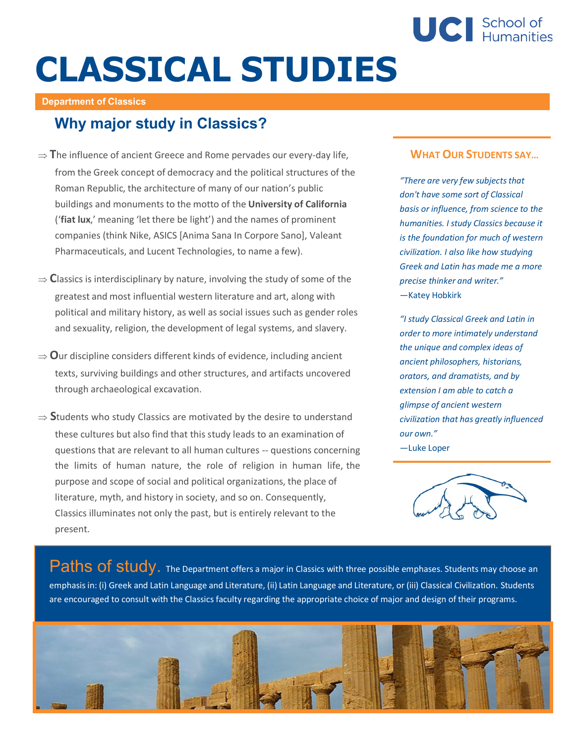

# **CLASSICAL STUDIES**

#### **Department of Classics**

## **Why major study in Classics?**

- $\Rightarrow$  The influence of ancient Greece and Rome pervades our every-day life, from the Greek concept of democracy and the political structures of the Roman Republic, the architecture of many of our nation's public buildings and monuments to the motto of the **University of California** ('**fiat lux**,' meaning 'let there be light') and the names of prominent companies (think Nike, ASICS [Anima Sana In Corpore Sano], Valeant Pharmaceuticals, and Lucent Technologies, to name a few).
- $\Rightarrow$  Classics is interdisciplinary by nature, involving the study of some of the greatest and most influential western literature and art, along with political and military history, as well as social issues such as gender roles and sexuality, religion, the development of legal systems, and slavery.
- $\Rightarrow$  **O**ur discipline considers different kinds of evidence, including ancient texts, surviving buildings and other structures, and artifacts uncovered through archaeological excavation.
- $\Rightarrow$  Students who study Classics are motivated by the desire to understand these cultures but also find that thisstudy leads to an examination of questions that are relevant to all human cultures -- questions concerning the limits of human nature, the role of religion in human life, the purpose and scope of social and political organizations, the place of literature, myth, and history in society, and so on. Consequently, Classics illuminates not only the past, but is entirely relevant to the present.

#### **WHAT OUR STUDENTS SAY…**

*"There* are very *few subjects that don't have some sort of Classical basis or influence, from science to the humanities. I study Classics because it is the foundation for much of western civilization. I also like how studying Greek and Latin has made me a more precise thinker and writer."* —Katey Hobkirk

*"I study Classical Greek and Latin in order to more intimately understand the unique and complex ideas of ancient philosophers, historians, orators, and dramatists, and by extension I am able to catch a glimpse of ancient western civilization that has greatly influenced our own."* —Luke Loper



Paths of study. The Department offers a major in Classics with three possible emphases. Students may choose an emphasisin: (i) Greek and Latin Language and Literature, (ii) Latin Language and Literature, or (iii) Classical Civilization. Students are encouraged to consult with the Classics faculty regarding the appropriate choice of major and design of their programs.